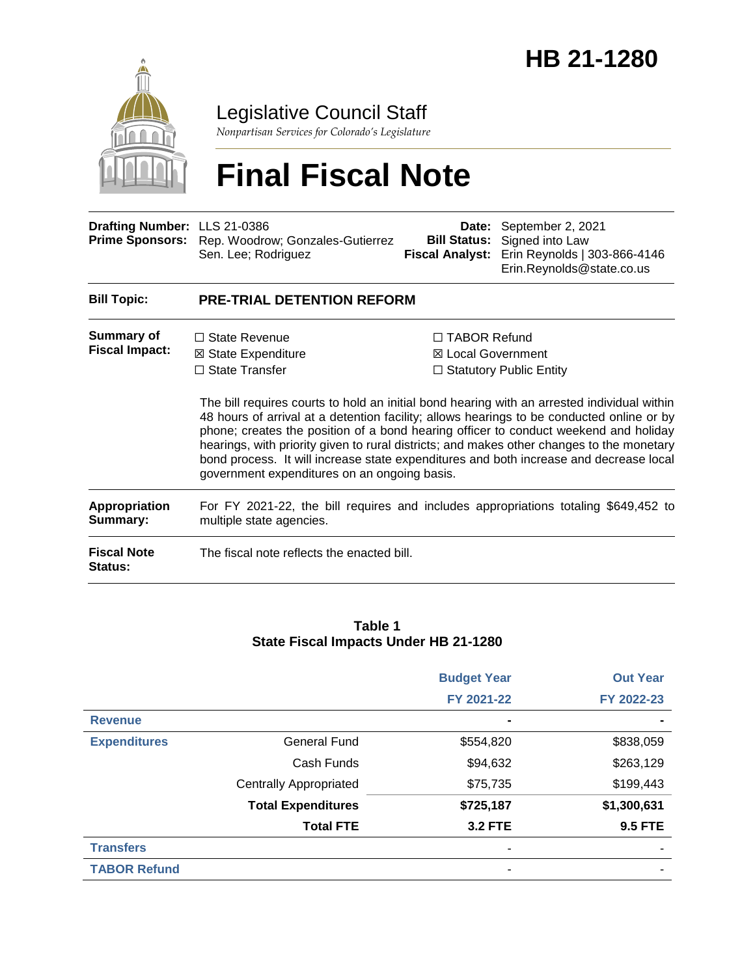

Legislative Council Staff

*Nonpartisan Services for Colorado's Legislature*

# **Final Fiscal Note**

| Drafting Number: LLS 21-0386<br><b>Prime Sponsors:</b> | Rep. Woodrow; Gonzales-Gutierrez<br>Sen. Lee; Rodriguez                                                                                                                                                                                                                                                                                                                                                                                                                                          |                     | Date: September 2, 2021<br><b>Bill Status:</b> Signed into Law<br>Fiscal Analyst: Erin Reynolds   303-866-4146<br>Erin.Reynolds@state.co.us         |  |  |
|--------------------------------------------------------|--------------------------------------------------------------------------------------------------------------------------------------------------------------------------------------------------------------------------------------------------------------------------------------------------------------------------------------------------------------------------------------------------------------------------------------------------------------------------------------------------|---------------------|-----------------------------------------------------------------------------------------------------------------------------------------------------|--|--|
| <b>Bill Topic:</b>                                     | <b>PRE-TRIAL DETENTION REFORM</b>                                                                                                                                                                                                                                                                                                                                                                                                                                                                |                     |                                                                                                                                                     |  |  |
| Summary of<br><b>Fiscal Impact:</b>                    | $\Box$ State Revenue<br>⊠ State Expenditure<br>$\Box$ State Transfer<br>48 hours of arrival at a detention facility; allows hearings to be conducted online or by<br>phone; creates the position of a bond hearing officer to conduct weekend and holiday<br>hearings, with priority given to rural districts; and makes other changes to the monetary<br>bond process. It will increase state expenditures and both increase and decrease local<br>government expenditures on an ongoing basis. | $\Box$ TABOR Refund | ⊠ Local Government<br>$\Box$ Statutory Public Entity<br>The bill requires courts to hold an initial bond hearing with an arrested individual within |  |  |
| <b>Appropriation</b><br>Summary:                       | For FY 2021-22, the bill requires and includes appropriations totaling \$649,452 to<br>multiple state agencies.                                                                                                                                                                                                                                                                                                                                                                                  |                     |                                                                                                                                                     |  |  |
| <b>Fiscal Note</b><br>Status:                          | The fiscal note reflects the enacted bill.                                                                                                                                                                                                                                                                                                                                                                                                                                                       |                     |                                                                                                                                                     |  |  |

#### **Table 1 State Fiscal Impacts Under HB 21-1280**

|                     |                               | <b>Budget Year</b> | <b>Out Year</b> |
|---------------------|-------------------------------|--------------------|-----------------|
|                     |                               | FY 2021-22         | FY 2022-23      |
| <b>Revenue</b>      |                               |                    |                 |
| <b>Expenditures</b> | <b>General Fund</b>           | \$554,820          | \$838,059       |
|                     | Cash Funds                    | \$94,632           | \$263,129       |
|                     | <b>Centrally Appropriated</b> | \$75,735           | \$199,443       |
|                     | <b>Total Expenditures</b>     | \$725,187          | \$1,300,631     |
|                     | <b>Total FTE</b>              | <b>3.2 FTE</b>     | <b>9.5 FTE</b>  |
| <b>Transfers</b>    |                               |                    |                 |
| <b>TABOR Refund</b> |                               |                    |                 |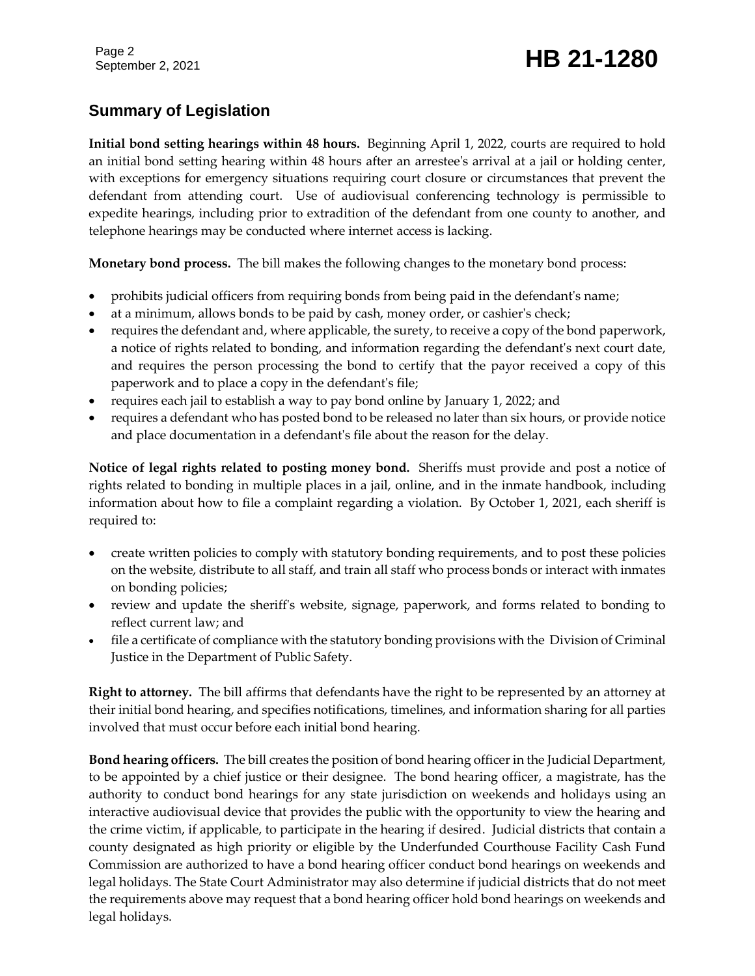# September 2, 2021 **HB 21-1280**

# **Summary of Legislation**

**Initial bond setting hearings within 48 hours.** Beginning April 1, 2022, courts are required to hold an initial bond setting hearing within 48 hours after an arrestee's arrival at a jail or holding center, with exceptions for emergency situations requiring court closure or circumstances that prevent the defendant from attending court. Use of audiovisual conferencing technology is permissible to expedite hearings, including prior to extradition of the defendant from one county to another, and telephone hearings may be conducted where internet access is lacking.

**Monetary bond process.** The bill makes the following changes to the monetary bond process:

- prohibits judicial officers from requiring bonds from being paid in the defendant's name;
- at a minimum, allows bonds to be paid by cash, money order, or cashier's check;
- requires the defendant and, where applicable, the surety, to receive a copy of the bond paperwork, a notice of rights related to bonding, and information regarding the defendant's next court date, and requires the person processing the bond to certify that the payor received a copy of this paperwork and to place a copy in the defendant's file;
- requires each jail to establish a way to pay bond online by January 1, 2022; and
- requires a defendant who has posted bond to be released no later than six hours, or provide notice and place documentation in a defendant's file about the reason for the delay.

**Notice of legal rights related to posting money bond.** Sheriffs must provide and post a notice of rights related to bonding in multiple places in a jail, online, and in the inmate handbook, including information about how to file a complaint regarding a violation. By October 1, 2021, each sheriff is required to:

- create written policies to comply with statutory bonding requirements, and to post these policies on the website, distribute to all staff, and train all staff who process bonds or interact with inmates on bonding policies;
- review and update the sheriff's website, signage, paperwork, and forms related to bonding to reflect current law; and
- file a certificate of compliance with the statutory bonding provisions with the Division of Criminal Justice in the Department of Public Safety.

**Right to attorney.** The bill affirms that defendants have the right to be represented by an attorney at their initial bond hearing, and specifies notifications, timelines, and information sharing for all parties involved that must occur before each initial bond hearing.

**Bond hearing officers.** The bill creates the position of bond hearing officer in the Judicial Department, to be appointed by a chief justice or their designee. The bond hearing officer, a magistrate, has the authority to conduct bond hearings for any state jurisdiction on weekends and holidays using an interactive audiovisual device that provides the public with the opportunity to view the hearing and the crime victim, if applicable, to participate in the hearing if desired. Judicial districts that contain a county designated as high priority or eligible by the Underfunded Courthouse Facility Cash Fund Commission are authorized to have a bond hearing officer conduct bond hearings on weekends and legal holidays. The State Court Administrator may also determine if judicial districts that do not meet the requirements above may request that a bond hearing officer hold bond hearings on weekends and legal holidays.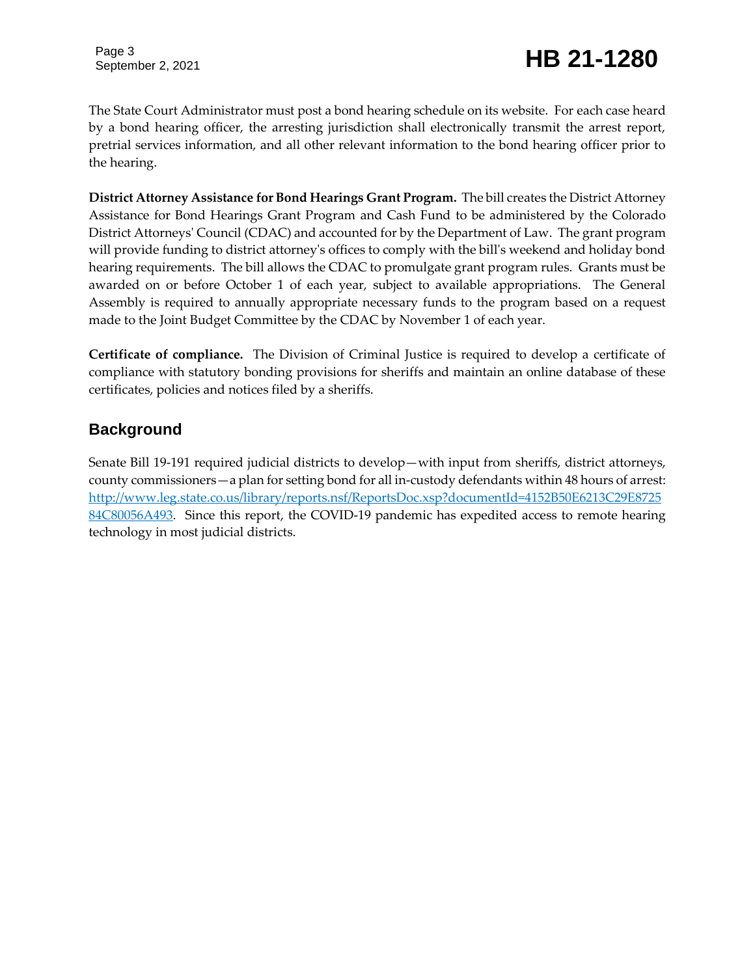Page 3

# September 2, 2021 **HB 21-1280**

The State Court Administrator must post a bond hearing schedule on its website. For each case heard by a bond hearing officer, the arresting jurisdiction shall electronically transmit the arrest report, pretrial services information, and all other relevant information to the bond hearing officer prior to the hearing.

**District Attorney Assistance for Bond Hearings Grant Program.** The bill creates the District Attorney Assistance for Bond Hearings Grant Program and Cash Fund to be administered by the Colorado District Attorneys' Council (CDAC) and accounted for by the Department of Law. The grant program will provide funding to district attorney's offices to comply with the bill's weekend and holiday bond hearing requirements. The bill allows the CDAC to promulgate grant program rules. Grants must be awarded on or before October 1 of each year, subject to available appropriations. The General Assembly is required to annually appropriate necessary funds to the program based on a request made to the Joint Budget Committee by the CDAC by November 1 of each year.

**Certificate of compliance.** The Division of Criminal Justice is required to develop a certificate of compliance with statutory bonding provisions for sheriffs and maintain an online database of these certificates, policies and notices filed by a sheriffs.

### **Background**

Senate Bill 19-191 required judicial districts to develop—with input from sheriffs, district attorneys, county commissioners—a plan for setting bond for all in-custody defendants within 48 hours of arrest: [http://www.leg.state.co.us/library/reports.nsf/ReportsDoc.xsp?documentId=4152B50E6213C29E8725](http://www.leg.state.co.us/library/reports.nsf/ReportsDoc.xsp?documentId=4152B50E6213C29E872584C80056A493) [84C80056A493.](http://www.leg.state.co.us/library/reports.nsf/ReportsDoc.xsp?documentId=4152B50E6213C29E872584C80056A493) Since this report, the COVID-19 pandemic has expedited access to remote hearing technology in most judicial districts.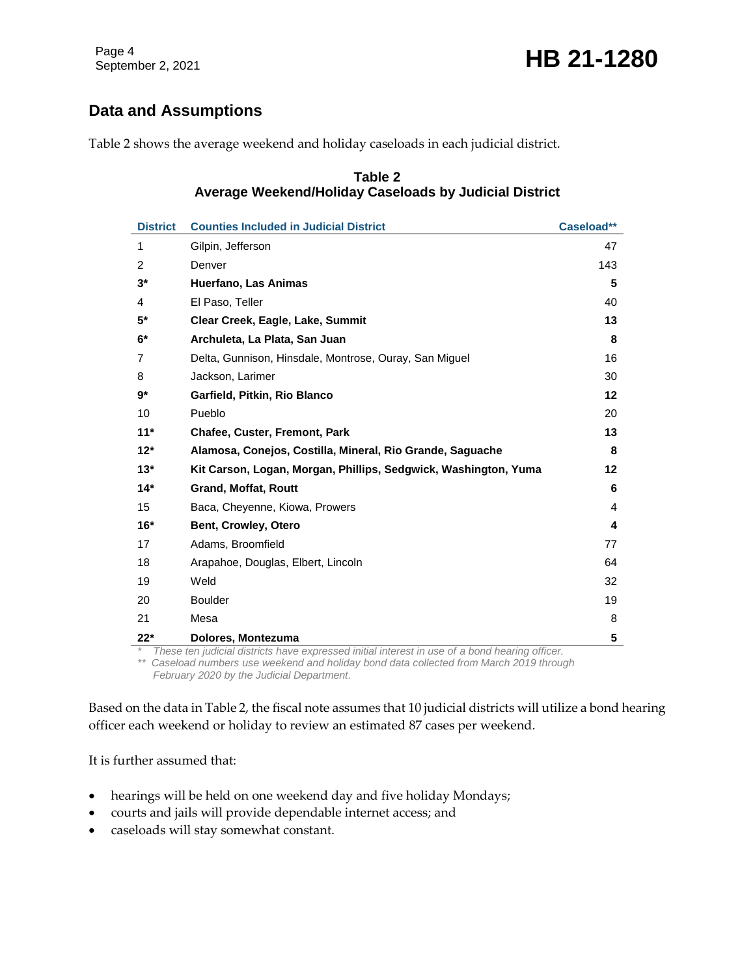# **Data and Assumptions**

Table 2 shows the average weekend and holiday caseloads in each judicial district.

#### **Table 2 Average Weekend/Holiday Caseloads by Judicial District**

| <b>District</b> | <b>Counties Included in Judicial District</b>                   | Caseload** |
|-----------------|-----------------------------------------------------------------|------------|
| 1               | Gilpin, Jefferson                                               | 47         |
| $\overline{2}$  | Denver                                                          | 143        |
| $3^*$           | Huerfano, Las Animas                                            | 5          |
| 4               | El Paso, Teller                                                 | 40         |
| $5*$            | Clear Creek, Eagle, Lake, Summit                                | 13         |
| $6*$            | Archuleta, La Plata, San Juan                                   | 8          |
| 7               | Delta, Gunnison, Hinsdale, Montrose, Ouray, San Miguel          | 16         |
| 8               | Jackson, Larimer                                                | 30         |
| $9*$            | Garfield, Pitkin, Rio Blanco                                    | 12         |
| 10              | Pueblo                                                          | 20         |
| $11*$           | Chafee, Custer, Fremont, Park                                   | 13         |
| $12*$           | Alamosa, Conejos, Costilla, Mineral, Rio Grande, Saquache       | 8          |
| $13*$           | Kit Carson, Logan, Morgan, Phillips, Sedgwick, Washington, Yuma | $12 \,$    |
| $14*$           | <b>Grand, Moffat, Routt</b>                                     | 6          |
| 15              | Baca, Cheyenne, Kiowa, Prowers                                  | 4          |
| $16*$           | <b>Bent, Crowley, Otero</b>                                     | 4          |
| 17              | Adams, Broomfield                                               | 77         |
| 18              | Arapahoe, Douglas, Elbert, Lincoln                              | 64         |
| 19              | Weld                                                            | 32         |
| 20              | <b>Boulder</b>                                                  | 19         |
| 21              | Mesa                                                            | 8          |
| 22*             | Dolores, Montezuma<br>$^{\prime}$                               | 5          |

*\* These ten judicial districts have expressed initial interest in use of a bond hearing officer.*

*\*\* Caseload numbers use weekend and holiday bond data collected from March 2019 through February 2020 by the Judicial Department.*

Based on the data in Table 2, the fiscal note assumes that 10 judicial districts will utilize a bond hearing officer each weekend or holiday to review an estimated 87 cases per weekend.

It is further assumed that:

- hearings will be held on one weekend day and five holiday Mondays;
- courts and jails will provide dependable internet access; and
- caseloads will stay somewhat constant.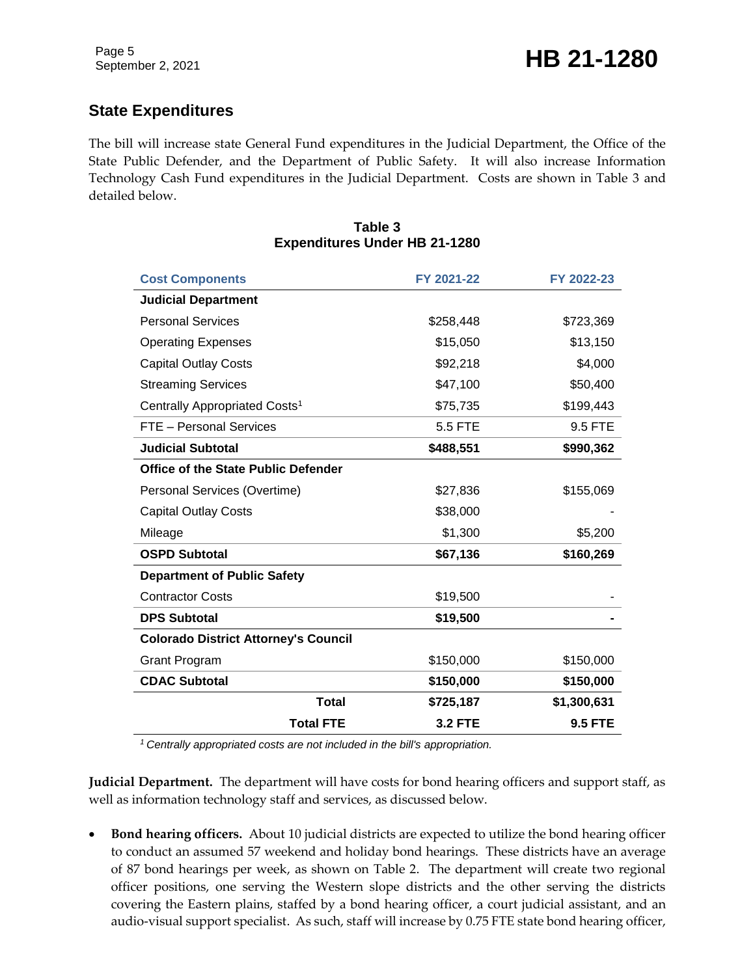# **State Expenditures**

The bill will increase state General Fund expenditures in the Judicial Department, the Office of the State Public Defender, and the Department of Public Safety. It will also increase Information Technology Cash Fund expenditures in the Judicial Department. Costs are shown in Table 3 and detailed below.

#### **Table 3 Expenditures Under HB 21-1280**

| <b>Cost Components</b>                      | FY 2021-22     | FY 2022-23     |  |  |
|---------------------------------------------|----------------|----------------|--|--|
| <b>Judicial Department</b>                  |                |                |  |  |
| <b>Personal Services</b>                    | \$258,448      | \$723,369      |  |  |
| <b>Operating Expenses</b>                   | \$15,050       | \$13,150       |  |  |
| <b>Capital Outlay Costs</b>                 | \$92,218       | \$4,000        |  |  |
| <b>Streaming Services</b>                   | \$47,100       | \$50,400       |  |  |
| Centrally Appropriated Costs <sup>1</sup>   | \$75,735       | \$199,443      |  |  |
| FTE - Personal Services                     | 5.5 FTE        | 9.5 FTE        |  |  |
| <b>Judicial Subtotal</b>                    | \$488,551      | \$990,362      |  |  |
| <b>Office of the State Public Defender</b>  |                |                |  |  |
| Personal Services (Overtime)                | \$27,836       | \$155,069      |  |  |
| <b>Capital Outlay Costs</b>                 | \$38,000       |                |  |  |
| Mileage                                     | \$1,300        | \$5,200        |  |  |
| <b>OSPD Subtotal</b>                        | \$67,136       | \$160,269      |  |  |
| <b>Department of Public Safety</b>          |                |                |  |  |
| <b>Contractor Costs</b>                     | \$19,500       |                |  |  |
| <b>DPS Subtotal</b>                         | \$19,500       |                |  |  |
| <b>Colorado District Attorney's Council</b> |                |                |  |  |
| <b>Grant Program</b>                        | \$150,000      | \$150,000      |  |  |
| <b>CDAC Subtotal</b>                        | \$150,000      | \$150,000      |  |  |
| <b>Total</b>                                | \$725,187      | \$1,300,631    |  |  |
| <b>Total FTE</b>                            | <b>3.2 FTE</b> | <b>9.5 FTE</b> |  |  |

*<sup>1</sup>Centrally appropriated costs are not included in the bill's appropriation.*

**Judicial Department.** The department will have costs for bond hearing officers and support staff, as well as information technology staff and services, as discussed below.

 **Bond hearing officers.** About 10 judicial districts are expected to utilize the bond hearing officer to conduct an assumed 57 weekend and holiday bond hearings. These districts have an average of 87 bond hearings per week, as shown on Table 2. The department will create two regional officer positions, one serving the Western slope districts and the other serving the districts covering the Eastern plains, staffed by a bond hearing officer, a court judicial assistant, and an audio-visual support specialist. As such, staff will increase by 0.75 FTE state bond hearing officer,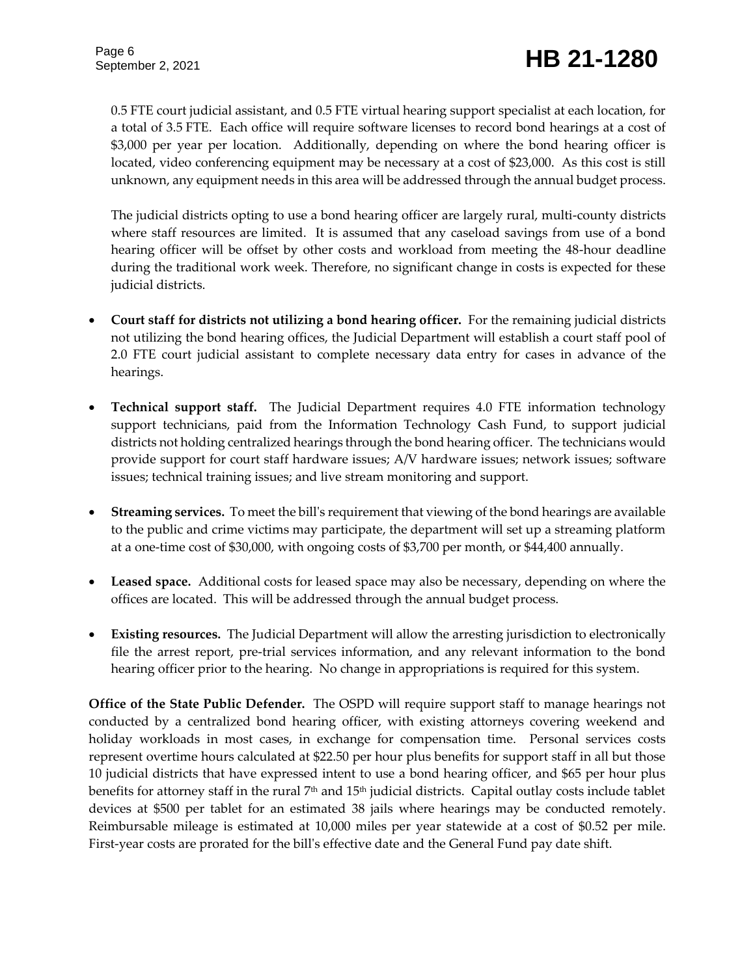0.5 FTE court judicial assistant, and 0.5 FTE virtual hearing support specialist at each location, for a total of 3.5 FTE. Each office will require software licenses to record bond hearings at a cost of \$3,000 per year per location. Additionally, depending on where the bond hearing officer is located, video conferencing equipment may be necessary at a cost of \$23,000. As this cost is still unknown, any equipment needs in this area will be addressed through the annual budget process.

The judicial districts opting to use a bond hearing officer are largely rural, multi-county districts where staff resources are limited. It is assumed that any caseload savings from use of a bond hearing officer will be offset by other costs and workload from meeting the 48-hour deadline during the traditional work week. Therefore, no significant change in costs is expected for these judicial districts.

- **Court staff for districts not utilizing a bond hearing officer.** For the remaining judicial districts not utilizing the bond hearing offices, the Judicial Department will establish a court staff pool of 2.0 FTE court judicial assistant to complete necessary data entry for cases in advance of the hearings.
- **Technical support staff.** The Judicial Department requires 4.0 FTE information technology support technicians, paid from the Information Technology Cash Fund, to support judicial districts not holding centralized hearings through the bond hearing officer. The technicians would provide support for court staff hardware issues; A/V hardware issues; network issues; software issues; technical training issues; and live stream monitoring and support.
- **Streaming services.** To meet the bill's requirement that viewing of the bond hearings are available to the public and crime victims may participate, the department will set up a streaming platform at a one-time cost of \$30,000, with ongoing costs of \$3,700 per month, or \$44,400 annually.
- **Leased space.** Additional costs for leased space may also be necessary, depending on where the offices are located. This will be addressed through the annual budget process.
- **Existing resources.** The Judicial Department will allow the arresting jurisdiction to electronically file the arrest report, pre-trial services information, and any relevant information to the bond hearing officer prior to the hearing. No change in appropriations is required for this system.

**Office of the State Public Defender.** The OSPD will require support staff to manage hearings not conducted by a centralized bond hearing officer, with existing attorneys covering weekend and holiday workloads in most cases, in exchange for compensation time. Personal services costs represent overtime hours calculated at \$22.50 per hour plus benefits for support staff in all but those 10 judicial districts that have expressed intent to use a bond hearing officer, and \$65 per hour plus benefits for attorney staff in the rural 7th and 15th judicial districts. Capital outlay costs include tablet devices at \$500 per tablet for an estimated 38 jails where hearings may be conducted remotely. Reimbursable mileage is estimated at 10,000 miles per year statewide at a cost of \$0.52 per mile. First-year costs are prorated for the bill's effective date and the General Fund pay date shift.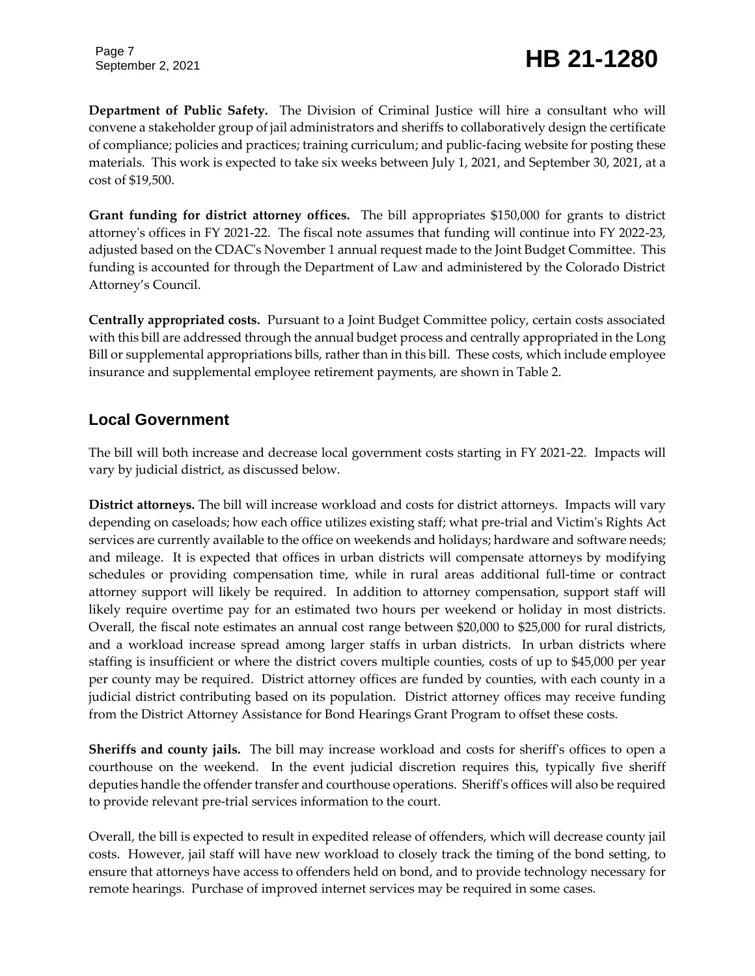Page 7

# September 2, 2021 **HB 21-1280**

**Department of Public Safety.** The Division of Criminal Justice will hire a consultant who will convene a stakeholder group of jail administrators and sheriffs to collaboratively design the certificate of compliance; policies and practices; training curriculum; and public-facing website for posting these materials. This work is expected to take six weeks between July 1, 2021, and September 30, 2021, at a cost of \$19,500.

**Grant funding for district attorney offices.** The bill appropriates \$150,000 for grants to district attorney's offices in FY 2021-22. The fiscal note assumes that funding will continue into FY 2022-23, adjusted based on the CDAC's November 1 annual request made to the Joint Budget Committee. This funding is accounted for through the Department of Law and administered by the Colorado District Attorney's Council.

**Centrally appropriated costs.** Pursuant to a Joint Budget Committee policy, certain costs associated with this bill are addressed through the annual budget process and centrally appropriated in the Long Bill or supplemental appropriations bills, rather than in this bill. These costs, which include employee insurance and supplemental employee retirement payments, are shown in Table 2.

### **Local Government**

The bill will both increase and decrease local government costs starting in FY 2021-22. Impacts will vary by judicial district, as discussed below.

**District attorneys.** The bill will increase workload and costs for district attorneys. Impacts will vary depending on caseloads; how each office utilizes existing staff; what pre-trial and Victim's Rights Act services are currently available to the office on weekends and holidays; hardware and software needs; and mileage. It is expected that offices in urban districts will compensate attorneys by modifying schedules or providing compensation time, while in rural areas additional full-time or contract attorney support will likely be required. In addition to attorney compensation, support staff will likely require overtime pay for an estimated two hours per weekend or holiday in most districts. Overall, the fiscal note estimates an annual cost range between \$20,000 to \$25,000 for rural districts, and a workload increase spread among larger staffs in urban districts. In urban districts where staffing is insufficient or where the district covers multiple counties, costs of up to \$45,000 per year per county may be required. District attorney offices are funded by counties, with each county in a judicial district contributing based on its population. District attorney offices may receive funding from the District Attorney Assistance for Bond Hearings Grant Program to offset these costs.

**Sheriffs and county jails.** The bill may increase workload and costs for sheriff's offices to open a courthouse on the weekend. In the event judicial discretion requires this, typically five sheriff deputies handle the offender transfer and courthouse operations. Sheriff's offices will also be required to provide relevant pre-trial services information to the court.

Overall, the bill is expected to result in expedited release of offenders, which will decrease county jail costs. However, jail staff will have new workload to closely track the timing of the bond setting, to ensure that attorneys have access to offenders held on bond, and to provide technology necessary for remote hearings. Purchase of improved internet services may be required in some cases.